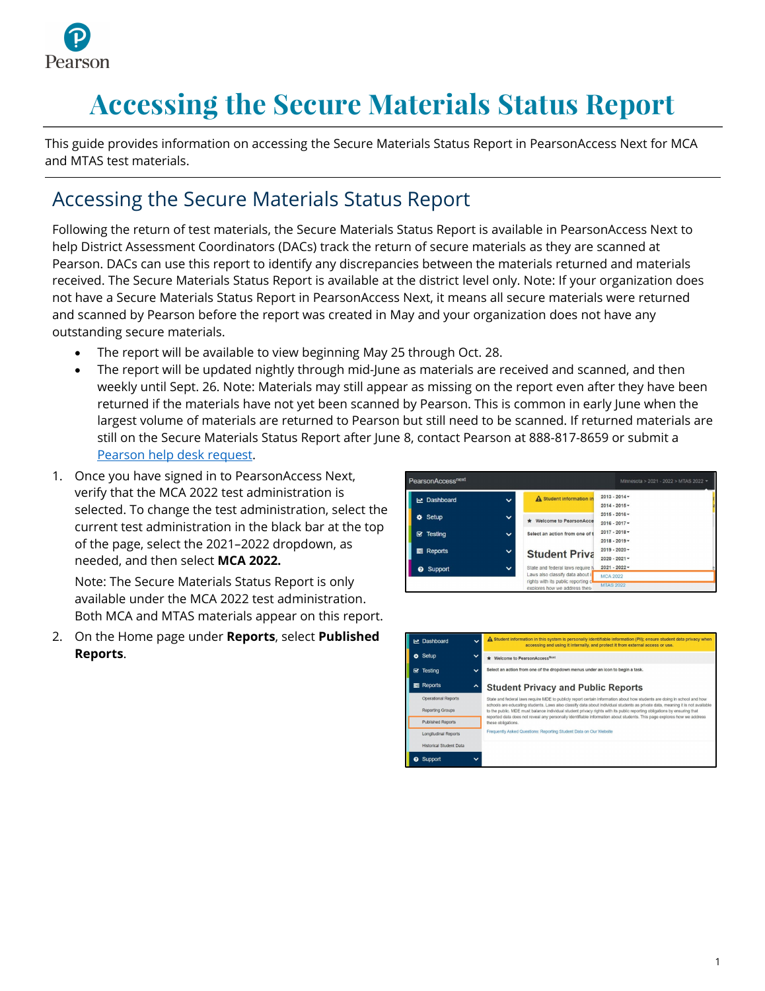

## **Accessing the Secure Materials Status Report**

This guide provides information on accessing the Secure Materials Status Report in PearsonAccess Next for MCA and MTAS test materials.

## Accessing the Secure Materials Status Report

Following the return of test materials, the Secure Materials Status Report is available in PearsonAccess Next to help District Assessment Coordinators (DACs) track the return of secure materials as they are scanned at Pearson. DACs can use this report to identify any discrepancies between the materials returned and materials received. The Secure Materials Status Report is available at the district level only. Note: If your organization does not have a Secure Materials Status Report in PearsonAccess Next, it means all secure materials were returned and scanned by Pearson before the report was created in May and your organization does not have any outstanding secure materials.

- · The report will be available to view beginning May 25 through Oct. 28.
- The report will be updated nightly through mid-June as materials are received and scanned, and then weekly until Sept. 26. Note: Materials may still appear as missing on the report even after they have been returned if the materials have not yet been scanned by Pearson. This is common in early June when the largest volume of materials are returned to Pearson but still need to be scanned. If returned materials are still on the Secure Materials Status Report after June 8, contact Pearson at 888-817-8659 or submit a [Pearson help desk request.](http://minnesota.pearsonaccessnext.com/support/)
- 1. Once you have signed in to PearsonAccess Next, verify that the MCA 2022 test administration is selected. To change the test administration, select the current test administration in the black bar at the top of the page, select the 2021–2022 dropdown, as needed, and then select **MCA 2022.**

Note: The Secure Materials Status Report is only available under the MCA 2022 test administration. Both MCA and MTAS materials appear on this report.

2. On the Home page under **Reports**, select **Published Reports**.